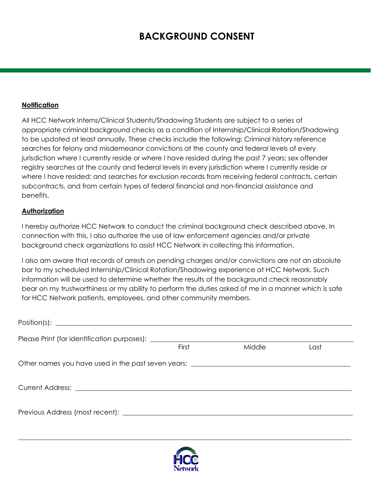## **BACKGROUND CONSENT**

## **Notification**

All HCC Network Interns/Clinical Students/Shadowing Students are subject to a series of appropriate criminal background checks as a condition of Internship/Clinical Rotation/Shadowing to be updated at least annually. These checks include the following: Criminal history reference searches for felony and misdemeanor convictions at the county and federal levels of every jurisdiction where I currently reside or where I have resided during the past 7 years; sex offender registry searches at the county and federal levels in every jurisdiction where I currently reside or where I have resided; and searches for exclusion records from receiving federal contracts, certain subcontracts, and from certain types of federal financial and non-financial assistance and benefits.

## **Authorization**

I hereby authorize HCC Network to conduct the criminal background check described above. In connection with this, I also authorize the use of law enforcement agencies and/or private background check organizations to assist HCC Network in collecting this information.

I also am aware that records of arrests on pending charges and/or convictions are not an absolute bar to my scheduled Internship/Clinical Rotation/Shadowing experience at HCC Network. Such information will be used to determine whether the results of the background check reasonably bear on my trustworthiness or my ability to perform the duties asked of me in a manner which is safe for HCC Network patients, employees, and other community members.

| First | Middle | Last |
|-------|--------|------|
|       |        |      |
|       |        |      |
|       |        |      |



\_\_\_\_\_\_\_\_\_\_\_\_\_\_\_\_\_\_\_\_\_\_\_\_\_\_\_\_\_\_\_\_\_\_\_\_\_\_\_\_\_\_\_\_\_\_\_\_\_\_\_\_\_\_\_\_\_\_\_\_\_\_\_\_\_\_\_\_\_\_\_\_\_\_\_\_\_\_\_\_\_\_\_\_\_\_\_\_\_\_\_\_\_\_\_\_\_\_\_\_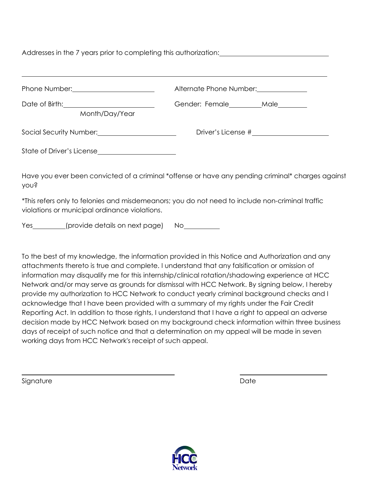Addresses in the 7 years prior to completing this authorization:

| Phone Number: National Assembly Phone Number:                   | Alternate Phone Number:               |  |  |
|-----------------------------------------------------------------|---------------------------------------|--|--|
| Date of Birth: <u>_______________________</u><br>Month/Day/Year | Gender: Female__________Male_________ |  |  |
| Social Security Number: Social Security Number:                 | Driver's License #                    |  |  |
| State of Driver's License                                       |                                       |  |  |

Have you ever been convicted of a criminal \*offense or have any pending criminal\* charges against you?

\*This refers only to felonies and misdemeanors; you do not need to include non-criminal traffic violations or municipal ordinance violations.

Yes (provide details on next page) No

To the best of my knowledge, the information provided in this Notice and Authorization and any attachments thereto is true and complete. I understand that any falsification or omission of information may disqualify me for this internship/clinical rotation/shadowing experience at HCC Network and/or may serve as grounds for dismissal with HCC Network. By signing below, I hereby provide my authorization to HCC Network to conduct yearly criminal background checks and I acknowledge that I have been provided with a summary of my rights under the Fair Credit Reporting Act. In addition to those rights, I understand that I have a right to appeal an adverse decision made by HCC Network based on my background check information within three business days of receipt of such notice and that a determination on my appeal will be made in seven working days from HCC Network's receipt of such appeal.

Signature Date